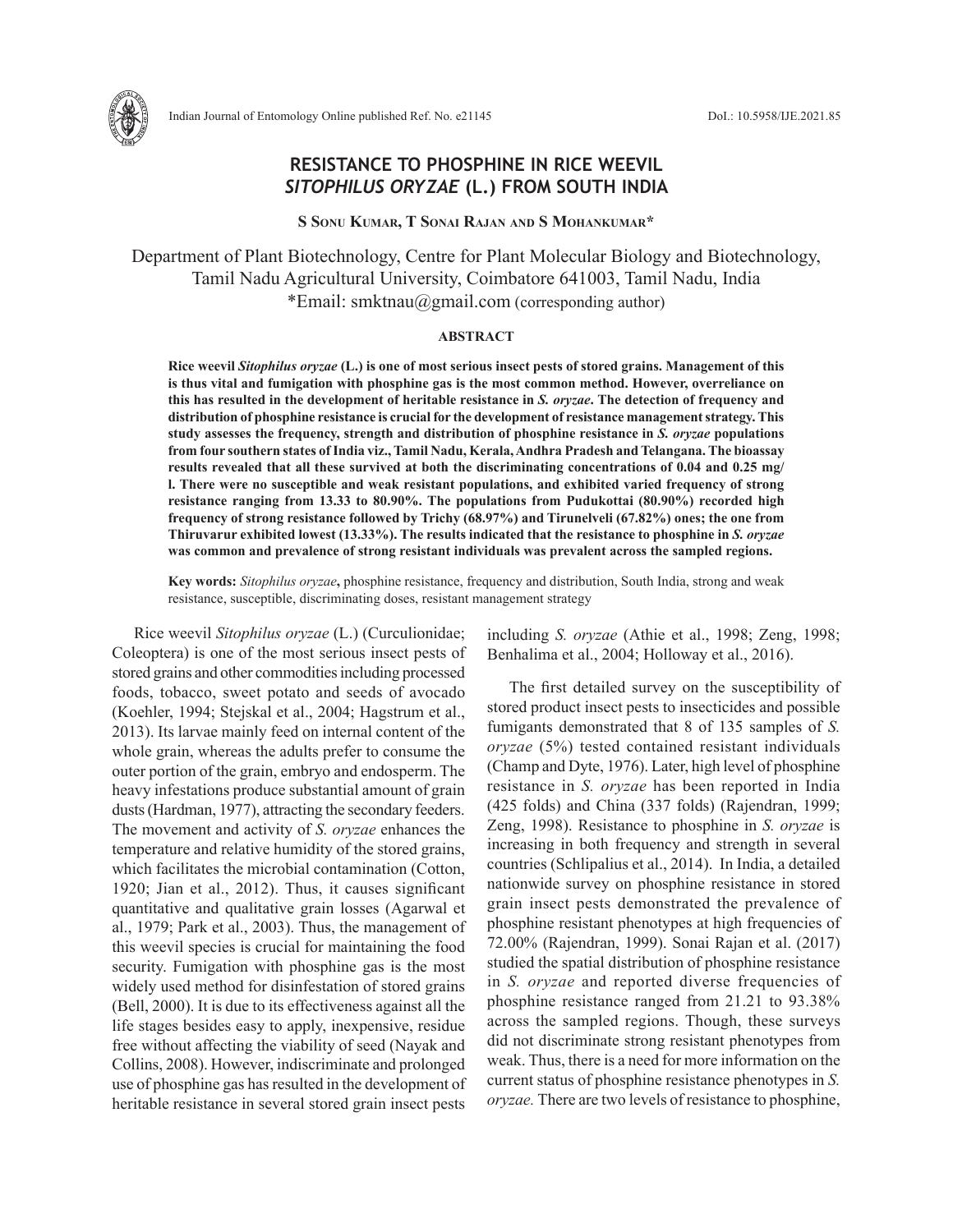

# **RESISTANCE TO PHOSPHINE IN RICE WEEVIL**  *SITOPHILUS ORYZAE* **(L.) FROM SOUTH INDIA**

**S Sonu Kumar, T Sonai Rajan and S Mohankumar\***

Department of Plant Biotechnology, Centre for Plant Molecular Biology and Biotechnology, Tamil Nadu Agricultural University, Coimbatore 641003, Tamil Nadu, India \*Email: smktnau@gmail.com (corresponding author)

## **ABSTRACT**

**Rice weevil** *Sitophilus oryzae* **(L.) is one of most serious insect pests of stored grains. Management of this is thus vital and fumigation with phosphine gas is the most common method. However, overreliance on this has resulted in the development of heritable resistance in** *S. oryzae***. The detection of frequency and distribution of phosphine resistance is crucial for the development of resistance management strategy. This study assesses the frequency, strength and distribution of phosphine resistance in** *S. oryzae* **populations from four southern states of India viz., Tamil Nadu, Kerala, Andhra Pradesh and Telangana. The bioassay results revealed that all these survived at both the discriminating concentrations of 0.04 and 0.25 mg/ l. There were no susceptible and weak resistant populations, and exhibited varied frequency of strong resistance ranging from 13.33 to 80.90%. The populations from Pudukottai (80.90%) recorded high frequency of strong resistance followed by Trichy (68.97%) and Tirunelveli (67.82%) ones; the one from Thiruvarur exhibited lowest (13.33%). The results indicated that the resistance to phosphine in** *S. oryzae* **was common and prevalence of strong resistant individuals was prevalent across the sampled regions.**

**Key words:** *Sitophilus oryzae***,** phosphine resistance, frequency and distribution, South India, strong and weak resistance, susceptible, discriminating doses, resistant management strategy

Rice weevil *Sitophilus oryzae* (L.) (Curculionidae; Coleoptera) is one of the most serious insect pests of stored grains and other commodities including processed foods, tobacco, sweet potato and seeds of avocado (Koehler, 1994; Stejskal et al., 2004; Hagstrum et al., 2013). Its larvae mainly feed on internal content of the whole grain, whereas the adults prefer to consume the outer portion of the grain, embryo and endosperm. The heavy infestations produce substantial amount of grain dusts (Hardman, 1977), attracting the secondary feeders. The movement and activity of *S. oryzae* enhances the temperature and relative humidity of the stored grains, which facilitates the microbial contamination (Cotton, 1920; Jian et al., 2012). Thus, it causes significant quantitative and qualitative grain losses (Agarwal et al., 1979; Park et al., 2003). Thus, the management of this weevil species is crucial for maintaining the food security. Fumigation with phosphine gas is the most widely used method for disinfestation of stored grains (Bell, 2000). It is due to its effectiveness against all the life stages besides easy to apply, inexpensive, residue free without affecting the viability of seed (Nayak and Collins, 2008). However, indiscriminate and prolonged use of phosphine gas has resulted in the development of heritable resistance in several stored grain insect pests

including *S. oryzae* (Athie et al., 1998; Zeng, 1998; Benhalima et al., 2004; Holloway et al., 2016).

The first detailed survey on the susceptibility of stored product insect pests to insecticides and possible fumigants demonstrated that 8 of 135 samples of *S. oryzae* (5%) tested contained resistant individuals (Champ and Dyte, 1976). Later, high level of phosphine resistance in *S. oryzae* has been reported in India (425 folds) and China (337 folds) (Rajendran, 1999; Zeng, 1998). Resistance to phosphine in *S. oryzae* is increasing in both frequency and strength in several countries (Schlipalius et al., 2014). In India, a detailed nationwide survey on phosphine resistance in stored grain insect pests demonstrated the prevalence of phosphine resistant phenotypes at high frequencies of 72.00% (Rajendran, 1999). Sonai Rajan et al. (2017) studied the spatial distribution of phosphine resistance in *S. oryzae* and reported diverse frequencies of phosphine resistance ranged from 21.21 to 93.38% across the sampled regions. Though, these surveys did not discriminate strong resistant phenotypes from weak. Thus, there is a need for more information on the current status of phosphine resistance phenotypes in *S. oryzae.* There are two levels of resistance to phosphine,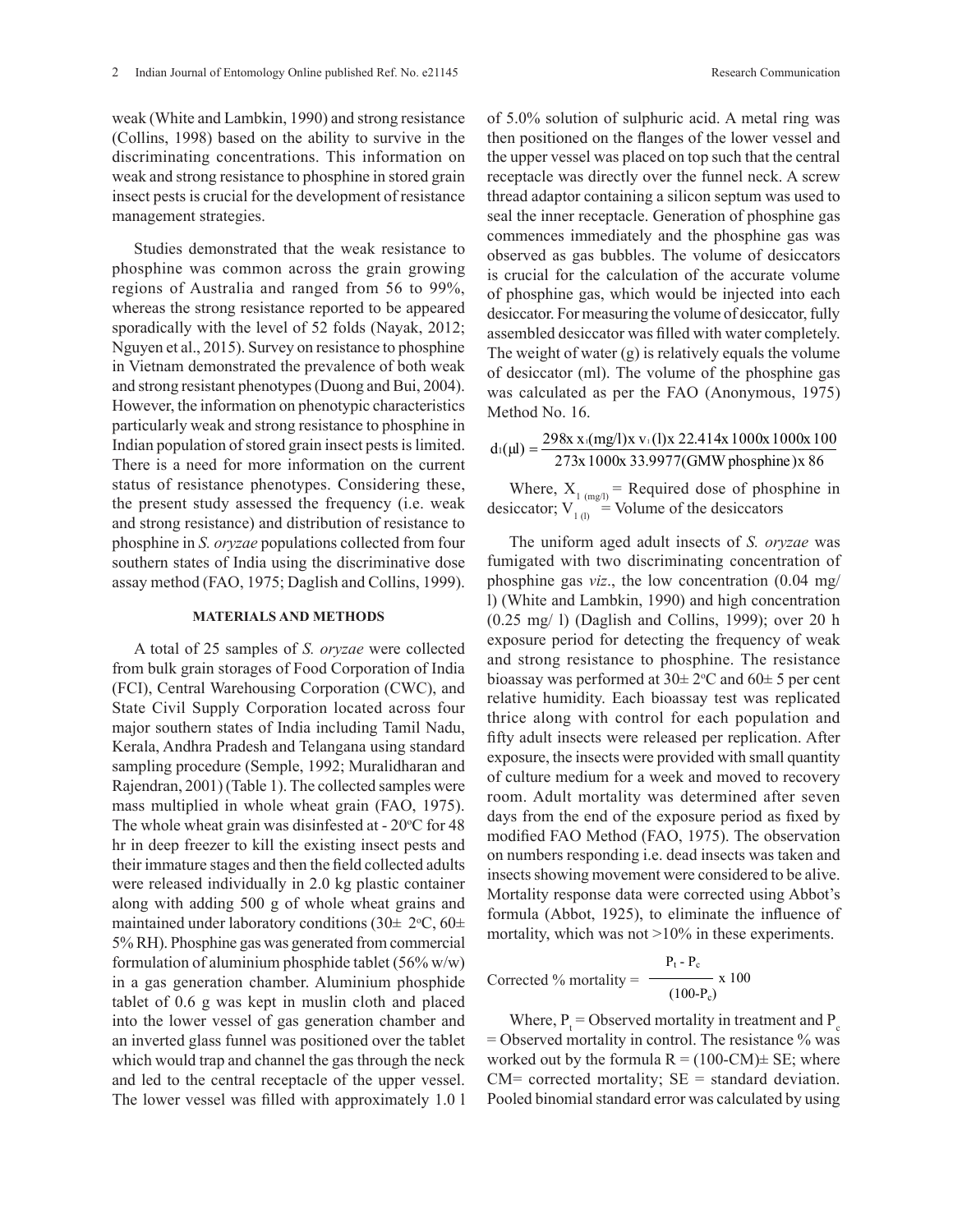weak (White and Lambkin, 1990) and strong resistance (Collins, 1998) based on the ability to survive in the discriminating concentrations. This information on weak and strong resistance to phosphine in stored grain insect pests is crucial for the development of resistance management strategies.

Studies demonstrated that the weak resistance to phosphine was common across the grain growing regions of Australia and ranged from 56 to 99%, whereas the strong resistance reported to be appeared sporadically with the level of 52 folds (Nayak, 2012; Nguyen et al., 2015). Survey on resistance to phosphine in Vietnam demonstrated the prevalence of both weak and strong resistant phenotypes (Duong and Bui, 2004). However, the information on phenotypic characteristics particularly weak and strong resistance to phosphine in Indian population of stored grain insect pests is limited. There is a need for more information on the current status of resistance phenotypes. Considering these, the present study assessed the frequency (i.e. weak and strong resistance) and distribution of resistance to phosphine in *S. oryzae* populations collected from four southern states of India using the discriminative dose assay method (FAO, 1975; Daglish and Collins, 1999).

### **MATERIALS AND METHODS**

A total of 25 samples of *S. oryzae* were collected from bulk grain storages of Food Corporation of India (FCI), Central Warehousing Corporation (CWC), and State Civil Supply Corporation located across four major southern states of India including Tamil Nadu, Kerala, Andhra Pradesh and Telangana using standard sampling procedure (Semple, 1992; Muralidharan and Rajendran, 2001) (Table 1). The collected samples were mass multiplied in whole wheat grain (FAO, 1975). The whole wheat grain was disinfested at  $-20^{\circ}$ C for 48 hr in deep freezer to kill the existing insect pests and their immature stages and then the field collected adults were released individually in 2.0 kg plastic container along with adding 500 g of whole wheat grains and maintained under laboratory conditions (30 $\pm$  2°C, 60 $\pm$ 5% RH). Phosphine gas was generated from commercial formulation of aluminium phosphide tablet  $(56\% \text{ w/w})$ in a gas generation chamber. Aluminium phosphide tablet of 0.6 g was kept in muslin cloth and placed into the lower vessel of gas generation chamber and an inverted glass funnel was positioned over the tablet which would trap and channel the gas through the neck and led to the central receptacle of the upper vessel. The lower vessel was filled with approximately 1.0 l

of 5.0% solution of sulphuric acid. A metal ring was then positioned on the flanges of the lower vessel and the upper vessel was placed on top such that the central receptacle was directly over the funnel neck. A screw thread adaptor containing a silicon septum was used to seal the inner receptacle. Generation of phosphine gas commences immediately and the phosphine gas was observed as gas bubbles. The volume of desiccators is crucial for the calculation of the accurate volume of phosphine gas, which would be injected into each desiccator. For measuring the volume of desiccator, fully assembled desiccator was filled with water completely. The weight of water (g) is relatively equals the volume of desiccator (ml). The volume of the phosphine gas was calculated as per the FAO (Anonymous, 1975) Method No. 16.

 $d_1(\mu l) = \frac{298x x_1(mg/l)x v_1(l)x 22.414x 1000x 1000x 100}{273x 1000x 33.9977(GMW phosphate)x 86}$ 

Where,  $X_1_{(mg/l)} =$  Required dose of phosphine in desiccator;  $V_{1(l)}^{1(mg)}$  Volume of the desiccators

The uniform aged adult insects of *S. oryzae* was fumigated with two discriminating concentration of phosphine gas *viz*., the low concentration (0.04 mg/ l) (White and Lambkin, 1990) and high concentration (0.25 mg/ l) (Daglish and Collins, 1999); over 20 h exposure period for detecting the frequency of weak and strong resistance to phosphine. The resistance bioassay was performed at  $30 \pm 2$ °C and  $60 \pm 5$  per cent relative humidity. Each bioassay test was replicated thrice along with control for each population and fifty adult insects were released per replication. After exposure, the insects were provided with small quantity of culture medium for a week and moved to recovery room. Adult mortality was determined after seven days from the end of the exposure period as fixed by modified FAO Method (FAO, 1975). The observation on numbers responding i.e. dead insects was taken and insects showing movement were considered to be alive. Mortality response data were corrected using Abbot's formula (Abbot, 1925), to eliminate the influence of mortality, which was not >10% in these experiments.

$$
\frac{P_t - P_c}{P_d}
$$
Corrected % mortality = 
$$
\frac{P_t - P_c}{(100 - P_c)} \times 100
$$

Where,  $P_t$  = Observed mortality in treatment and  $P_c$  $=$  Observed mortality in control. The resistance  $\%$  was worked out by the formula  $R = (100-CM) \pm SE$ ; where  $CM=$  corrected mortality;  $SE =$  standard deviation. Pooled binomial standard error was calculated by using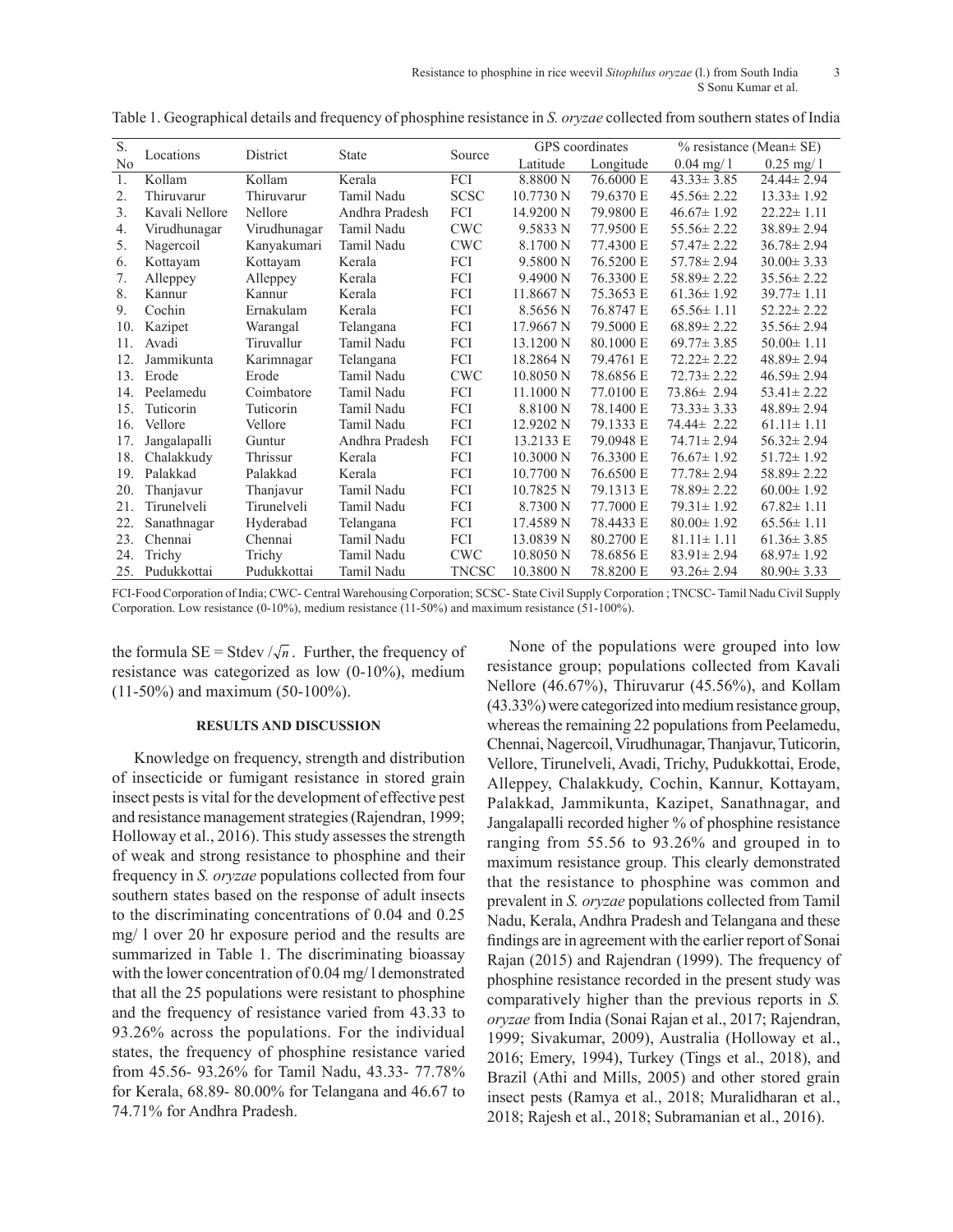| S.  | Locations      | District     | <b>State</b>   | Source       | GPS coordinates      |           | $%$ resistance (Mean $\pm$ SE) |                  |
|-----|----------------|--------------|----------------|--------------|----------------------|-----------|--------------------------------|------------------|
| No  |                |              |                |              | Latitude             | Longitude | $0.04 \text{ mg}/1$            | $0.25$ mg/ 1     |
| 1.  | Kollam         | Kollam       | Kerala         | FCI          | 8.8800 N             | 76.6000 E | $43.33 \pm 3.85$               | $24.44 \pm 2.94$ |
| 2.  | Thiruvarur     | Thiruvarur   | Tamil Nadu     | <b>SCSC</b>  | 10.7730 N            | 79.6370 E | $45.56 \pm 2.22$               | $13.33 \pm 1.92$ |
| 3.  | Kavali Nellore | Nellore      | Andhra Pradesh | FCI          | 14.9200 N            | 79.9800 E | $46.67 \pm 1.92$               | $22.22 \pm 1.11$ |
| 4.  | Virudhunagar   | Virudhunagar | Tamil Nadu     | <b>CWC</b>   | 9.5833 N             | 77.9500 E | $55.56 \pm 2.22$               | $38.89 \pm 2.94$ |
| 5.  | Nagercoil      | Kanyakumari  | Tamil Nadu     | <b>CWC</b>   | 8.1700 N             | 77.4300 E | $57.47 \pm 2.22$               | $36.78 \pm 2.94$ |
| 6.  | Kottayam       | Kottayam     | Kerala         | FCI          | 9.5800 N             | 76.5200 E | $57.78 \pm 2.94$               | $30.00 \pm 3.33$ |
| 7.  | Alleppey       | Alleppey     | Kerala         | FCI          | 9.4900 N             | 76.3300 E | $58.89 \pm 2.22$               | $35.56 \pm 2.22$ |
| 8.  | Kannur         | Kannur       | Kerala         | FCI          | 11.8667 <sub>N</sub> | 75.3653 E | $61.36 \pm 1.92$               | $39.77 \pm 1.11$ |
| 9.  | Cochin         | Ernakulam    | Kerala         | FCI          | 8.5656 N             | 76.8747 E | $65.56 \pm 1.11$               | $52.22 \pm 2.22$ |
| 10. | Kazipet        | Warangal     | Telangana      | FCI          | 17.9667 N            | 79.5000 E | $68.89 \pm 2.22$               | $35.56 \pm 2.94$ |
| 11. | Avadi          | Tiruvallur   | Tamil Nadu     | FCI          | 13.1200 N            | 80.1000 E | $69.77 \pm 3.85$               | $50.00 \pm 1.11$ |
| 12. | Jammikunta     | Karimnagar   | Telangana      | FCI          | 18.2864 N            | 79.4761 E | $72.22 \pm 2.22$               | $48.89 \pm 2.94$ |
| 13. | Erode          | Erode        | Tamil Nadu     | <b>CWC</b>   | 10.8050 N            | 78.6856 E | $72.73 \pm 2.22$               | $46.59 \pm 2.94$ |
| 14. | Peelamedu      | Coimbatore   | Tamil Nadu     | FCI          | $11.1000\text{ N}$   | 77.0100 E | $73.86 \pm 2.94$               | $53.41 \pm 2.22$ |
| 15. | Tuticorin      | Tuticorin    | Tamil Nadu     | FCI          | 8.8100 N             | 78.1400 E | $73.33 \pm 3.33$               | $48.89 \pm 2.94$ |
| 16. | Vellore        | Vellore      | Tamil Nadu     | FCI          | 12.9202 N            | 79.1333 E | 74.44± 2.22                    | $61.11 \pm 1.11$ |
| 17. | Jangalapalli   | Guntur       | Andhra Pradesh | FCI          | 13.2133 E            | 79.0948 E | $74.71 \pm 2.94$               | $56.32 \pm 2.94$ |
| 18. | Chalakkudy     | Thrissur     | Kerala         | FCI          | 10.3000 N            | 76.3300 E | $76.67 \pm 1.92$               | $51.72 \pm 1.92$ |
| 19. | Palakkad       | Palakkad     | Kerala         | FCI          | 10.7700 N            | 76.6500 E | $77.78 \pm 2.94$               | $58.89 \pm 2.22$ |
| 20. | Thanjavur      | Thanjavur    | Tamil Nadu     | FCI          | 10.7825 N            | 79.1313 E | $78.89 \pm 2.22$               | $60.00 \pm 1.92$ |
| 21. | Tirunelveli    | Tirunelveli  | Tamil Nadu     | FCI          | 8.7300 N             | 77.7000 E | $79.31 \pm 1.92$               | $67.82 \pm 1.11$ |
| 22. | Sanathnagar    | Hyderabad    | Telangana      | FCI          | 17.4589 N            | 78.4433 E | $80.00 \pm 1.92$               | $65.56 \pm 1.11$ |
| 23. | Chennai        | Chennai      | Tamil Nadu     | FCI          | 13.0839 N            | 80.2700 E | $81.11 \pm 1.11$               | $61.36 \pm 3.85$ |
| 24. | Trichy         | Trichy       | Tamil Nadu     | <b>CWC</b>   | 10.8050 N            | 78.6856 E | $83.91 \pm 2.94$               | $68.97 \pm 1.92$ |
| 25. | Pudukkottai    | Pudukkottai  | Tamil Nadu     | <b>TNCSC</b> | 10.3800 N            | 78.8200 E | $93.26 \pm 2.94$               | $80.90 \pm 3.33$ |

Table 1. Geographical details and frequency of phosphine resistance in *S. oryzae* collected from southern states of India

FCI-Food Corporation of India; CWC- Central Warehousing Corporation; SCSC- State Civil Supply Corporation ; TNCSC- Tamil Nadu Civil Supply Corporation. Low resistance (0-10%), medium resistance (11-50%) and maximum resistance (51-100%).

the formula  $SE = Steev / \sqrt{n}$ . Further, the frequency of resistance was categorized as low (0-10%), medium (11-50%) and maximum (50-100%).

## **RESULTS AND DISCUSSION**

Knowledge on frequency, strength and distribution of insecticide or fumigant resistance in stored grain insect pests is vital for the development of effective pest and resistance management strategies (Rajendran, 1999; Holloway et al., 2016). This study assesses the strength of weak and strong resistance to phosphine and their frequency in *S. oryzae* populations collected from four southern states based on the response of adult insects to the discriminating concentrations of 0.04 and 0.25 mg/ l over 20 hr exposure period and the results are summarized in Table 1. The discriminating bioassay with the lower concentration of 0.04 mg/ l demonstrated that all the 25 populations were resistant to phosphine and the frequency of resistance varied from 43.33 to 93.26% across the populations. For the individual states, the frequency of phosphine resistance varied from 45.56- 93.26% for Tamil Nadu, 43.33- 77.78% for Kerala, 68.89- 80.00% for Telangana and 46.67 to 74.71% for Andhra Pradesh.

None of the populations were grouped into low resistance group; populations collected from Kavali Nellore (46.67%), Thiruvarur (45.56%), and Kollam (43.33%) were categorized into medium resistance group, whereas the remaining 22 populations from Peelamedu, Chennai, Nagercoil, Virudhunagar, Thanjavur, Tuticorin, Vellore, Tirunelveli, Avadi, Trichy, Pudukkottai, Erode, Alleppey, Chalakkudy, Cochin, Kannur, Kottayam, Palakkad, Jammikunta, Kazipet, Sanathnagar, and Jangalapalli recorded higher % of phosphine resistance ranging from 55.56 to 93.26% and grouped in to maximum resistance group. This clearly demonstrated that the resistance to phosphine was common and prevalent in *S. oryzae* populations collected from Tamil Nadu, Kerala, Andhra Pradesh and Telangana and these findings are in agreement with the earlier report of Sonai Rajan (2015) and Rajendran (1999). The frequency of phosphine resistance recorded in the present study was comparatively higher than the previous reports in *S. oryzae* from India (Sonai Rajan et al., 2017; Rajendran, 1999; Sivakumar, 2009), Australia (Holloway et al., 2016; Emery, 1994), Turkey (Tings et al., 2018), and Brazil (Athi and Mills, 2005) and other stored grain insect pests (Ramya et al., 2018; Muralidharan et al., 2018; Rajesh et al., 2018; Subramanian et al., 2016).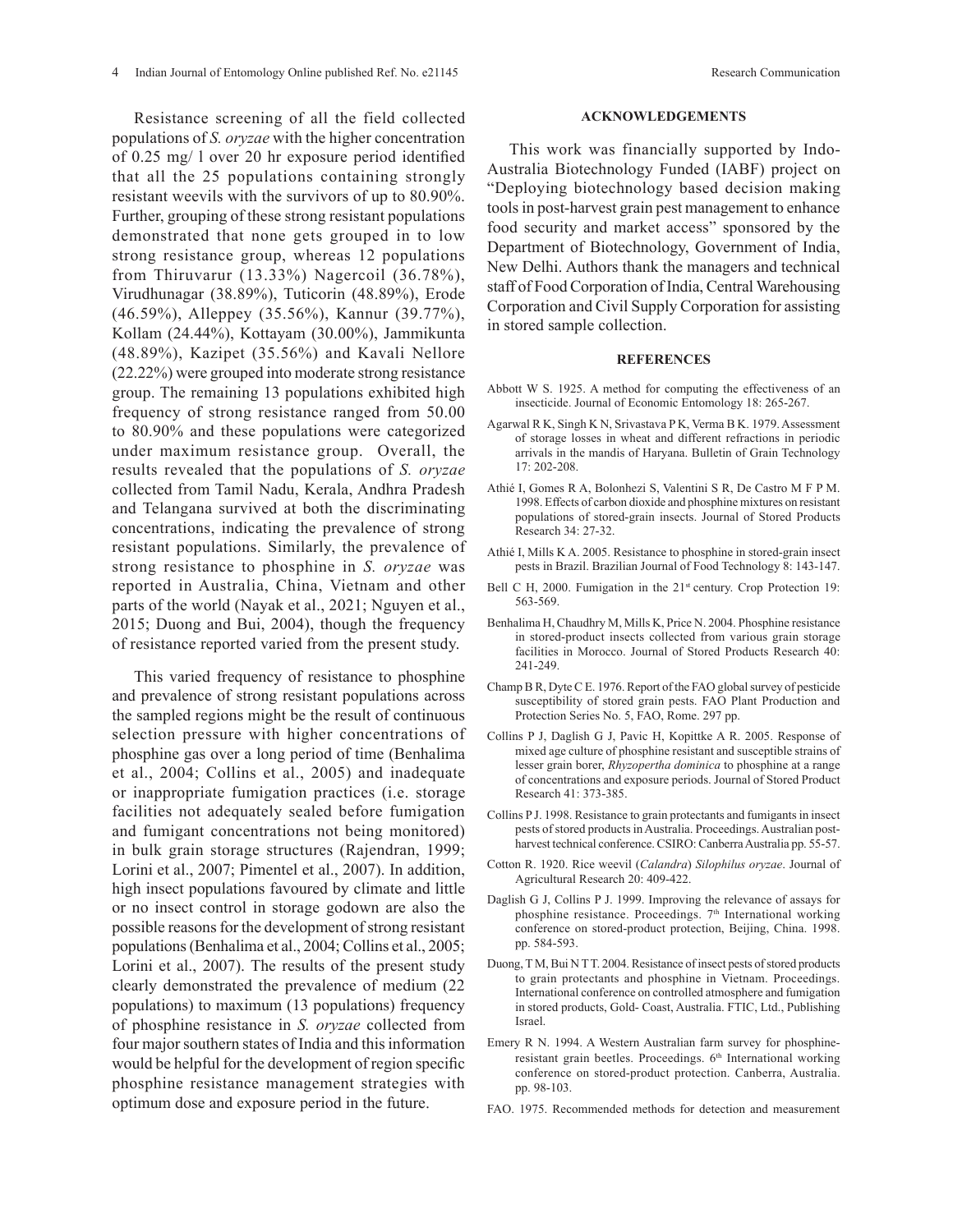Resistance screening of all the field collected populations of *S. oryzae* with the higher concentration of 0.25 mg/ l over 20 hr exposure period identified that all the 25 populations containing strongly resistant weevils with the survivors of up to 80.90%. Further, grouping of these strong resistant populations demonstrated that none gets grouped in to low strong resistance group, whereas 12 populations from Thiruvarur (13.33%) Nagercoil (36.78%), Virudhunagar (38.89%), Tuticorin (48.89%), Erode (46.59%), Alleppey (35.56%), Kannur (39.77%), Kollam (24.44%), Kottayam (30.00%), Jammikunta (48.89%), Kazipet (35.56%) and Kavali Nellore (22.22%) were grouped into moderate strong resistance group. The remaining 13 populations exhibited high frequency of strong resistance ranged from 50.00 to 80.90% and these populations were categorized under maximum resistance group. Overall, the results revealed that the populations of *S. oryzae* collected from Tamil Nadu, Kerala, Andhra Pradesh and Telangana survived at both the discriminating concentrations, indicating the prevalence of strong resistant populations. Similarly, the prevalence of strong resistance to phosphine in *S. oryzae* was reported in Australia, China, Vietnam and other parts of the world (Nayak et al., 2021; Nguyen et al., 2015; Duong and Bui, 2004), though the frequency of resistance reported varied from the present study.

This varied frequency of resistance to phosphine and prevalence of strong resistant populations across the sampled regions might be the result of continuous selection pressure with higher concentrations of phosphine gas over a long period of time (Benhalima et al., 2004; Collins et al., 2005) and inadequate or inappropriate fumigation practices (i.e. storage facilities not adequately sealed before fumigation and fumigant concentrations not being monitored) in bulk grain storage structures (Rajendran, 1999; Lorini et al., 2007; Pimentel et al., 2007). In addition, high insect populations favoured by climate and little or no insect control in storage godown are also the possible reasons for the development of strong resistant populations (Benhalima et al., 2004; Collins et al., 2005; Lorini et al., 2007). The results of the present study clearly demonstrated the prevalence of medium (22 populations) to maximum (13 populations) frequency of phosphine resistance in *S. oryzae* collected from four major southern states of India and this information would be helpful for the development of region specific phosphine resistance management strategies with optimum dose and exposure period in the future.

#### **ACKNOWLEDGEMENTS**

This work was financially supported by Indo-Australia Biotechnology Funded (IABF) project on "Deploying biotechnology based decision making tools in post-harvest grain pest management to enhance food security and market access" sponsored by the Department of Biotechnology, Government of India, New Delhi. Authors thank the managers and technical staff of Food Corporation of India, Central Warehousing Corporation and Civil Supply Corporation for assisting in stored sample collection.

#### **REFERENCES**

- Abbott W S. 1925. A method for computing the effectiveness of an insecticide. Journal of Economic Entomology 18: 265-267.
- Agarwal R K, Singh K N, Srivastava P K, Verma B K. 1979. Assessment of storage losses in wheat and different refractions in periodic arrivals in the mandis of Haryana. Bulletin of Grain Technology 17: 202-208.
- Athié I, Gomes R A, Bolonhezi S, Valentini S R, De Castro M F P M. 1998. Effects of carbon dioxide and phosphine mixtures on resistant populations of stored-grain insects. Journal of Stored Products Research 34: 27-32.
- Athié I, Mills K A. 2005. Resistance to phosphine in stored-grain insect pests in Brazil. Brazilian Journal of Food Technology 8: 143-147.
- Bell C H, 2000. Fumigation in the 21<sup>st</sup> century. Crop Protection 19: 563-569.
- Benhalima H, Chaudhry M, Mills K, Price N. 2004. Phosphine resistance in stored-product insects collected from various grain storage facilities in Morocco. Journal of Stored Products Research 40: 241-249.
- Champ B R, Dyte C E. 1976. Report of the FAO global survey of pesticide susceptibility of stored grain pests. FAO Plant Production and Protection Series No. 5, FAO, Rome. 297 pp.
- Collins P J, Daglish G J, Pavic H, Kopittke A R. 2005. Response of mixed age culture of phosphine resistant and susceptible strains of lesser grain borer, *Rhyzopertha dominica* to phosphine at a range of concentrations and exposure periods. Journal of Stored Product Research 41: 373-385.
- Collins P J. 1998. Resistance to grain protectants and fumigants in insect pests of stored products in Australia. Proceedings. Australian postharvest technical conference. CSIRO: Canberra Australia pp. 55-57.
- Cotton R. 1920. Rice weevil (*Calandra*) *Silophilus oryzae*. Journal of Agricultural Research 20: 409-422.
- Daglish G J, Collins P J. 1999. Improving the relevance of assays for phosphine resistance. Proceedings. 7<sup>th</sup> International working conference on stored-product protection, Beijing, China. 1998. pp. 584-593.
- Duong, T M, Bui N T T. 2004. Resistance of insect pests of stored products to grain protectants and phosphine in Vietnam. Proceedings. International conference on controlled atmosphere and fumigation in stored products, Gold- Coast, Australia. FTIC, Ltd., Publishing Israel.
- Emery R N. 1994. A Western Australian farm survey for phosphineresistant grain beetles. Proceedings. 6<sup>th</sup> International working conference on stored-product protection. Canberra, Australia. pp. 98-103.
- FAO. 1975. Recommended methods for detection and measurement